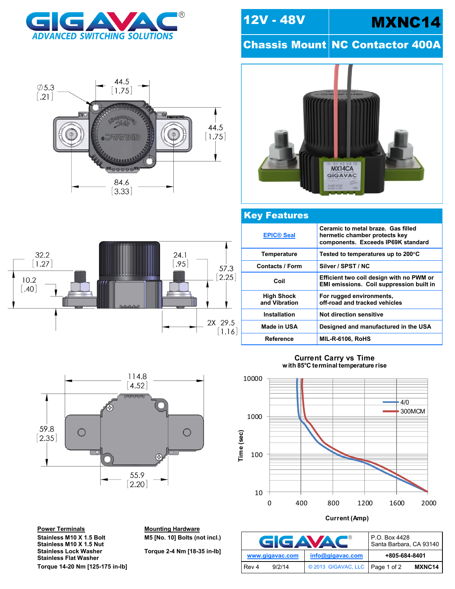



## 12V - 48V MXNC14

**Chassis Mount NC Contactor 400A** 



## Key Features

|  | <b>EPIC® Seal</b>                  | Ceramic to metal braze. Gas filled<br>hermetic chamber protects key<br>components. Exceeds IP69K standard |  |  |
|--|------------------------------------|-----------------------------------------------------------------------------------------------------------|--|--|
|  | <b>Temperature</b>                 | Tested to temperatures up to 200°C                                                                        |  |  |
|  | <b>Contacts / Form</b>             | Silver / SPST / NC                                                                                        |  |  |
|  | Coil                               | Efficient two coil design with no PWM or<br>EMI emissions. Coil suppression built in                      |  |  |
|  | <b>High Shock</b><br>and Vibration | For rugged environments,<br>off-road and tracked vehicles                                                 |  |  |
|  | <b>Installation</b>                | Not direction sensitive                                                                                   |  |  |
|  | Made in USA                        | Designed and manufactured in the USA                                                                      |  |  |
|  | Reference                          | <b>MIL-R-6106, RoHS</b>                                                                                   |  |  |



114.8  $4.52$ **JEJEJE** 59.8  $\bigcirc$  $\bigcirc$  $[2.35]$ Æ  $\begin{bmatrix} 55.9 \\ 2.20 \end{bmatrix}$ 

**Power Terminals Mounting Hardware Stainless M10 X 1.5 Nut Stainless Flat Washer**

**Stainless M10 X 1.5 Bolt M5 [No. 10] Bolts (not incl.)**

**Stainless Lock Washer Torque 2-4 Nm [18-35 in-lb]**

## **Current Carry vs Time with 85 C terminal temperature rise**



**Current (Amp)**

| GGAVA           | P.O. Box 4428<br>Santa Barbara, CA 93140 |               |        |
|-----------------|------------------------------------------|---------------|--------|
| www.gigavac.com | info@gigavac.com                         | +805-684-8401 |        |
| 9/2/14<br>Rev 4 | © 2013 GIGAVAC, LLC   Page 1 of 2        |               | MXNC14 |

**Torque 14-20 Nm [125-175 in-lb]**